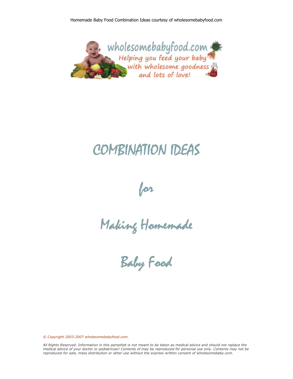

# COMBINATION IDEAS

for

Making Homemade

Baby Food

*© Copyright 2003-2007 wholesomebabyfood.com.*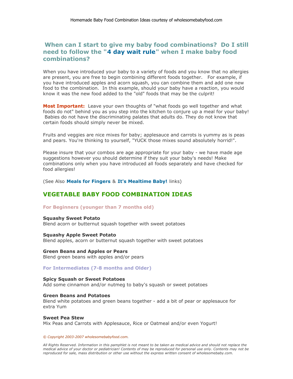# **When can I start to give my baby food combinations? Do I still need to follow the "4 day wait rule"** when I make baby food **combinations?**

When you have introduced your baby to a variety of foods and you know that no allergies are present, you are free to begin combining different foods together. For example, if you have introduced apples and acorn squash, you can combine them and add one new food to the combination. In this example, should your baby have a reaction, you would know it was the new food added to the "old" foods that may be the culprit!

**Most Important:** Leave your own thoughts of "what foods go well together and what foods do not" behind you as you step into the kitchen to conjure up a meal for your baby! Babies do not have the discriminating palates that adults do. They do not know that certain foods should simply never be mixed.

Fruits and veggies are nice mixes for baby; applesauce and carrots is yummy as is peas and pears. You're thinking to yourself, "YUCK those mixes sound absolutely horrid!".

Please insure that your combos are age appropriate for your baby - we have made age suggestions however you should determine if they suit your baby's needs! Make combinations only when you have introduced all foods separately and have checked for food allergies!

(See Also **Meals for Fingers & It's Mealtime Baby!** links)

# **VEGETABLE BABY FOOD COMBINATION IDEAS**

#### **For Beginners (younger than 7 months old)**

#### **Squashy Sweet Potato**

Blend acorn or butternut squash together with sweet potatoes

## **Squashy Apple Sweet Potato**

Blend apples, acorn or butternut squash together with sweet potatoes

### **Green Beans and Apples or Pears**

Blend green beans with apples and/or pears

#### **For Intermediates (7-8 months and Older)**

#### **Spicy Squash or Sweet Potatoes**

Add some cinnamon and/or nutmeg to baby's squash or sweet potatoes

#### **Green Beans and Potatoes**

Blend white potatoes and green beans together - add a bit of pear or applesauce for extra Yum

#### **Sweet Pea Stew**  Mix Peas and Carrots with Applesauce, Rice or Oatmeal and/or even Yogurt!

#### *© Copyright 2003-2007 wholesomebabyfood.com.*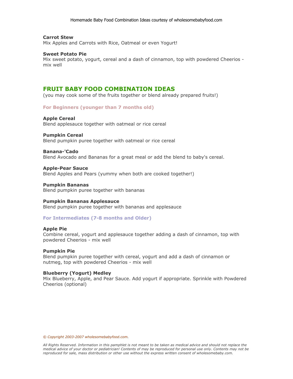#### **Carrot Stew**

Mix Apples and Carrots with Rice, Oatmeal or even Yogurt!

#### **Sweet Potato Pie**

Mix sweet potato, yogurt, cereal and a dash of cinnamon, top with powdered Cheerios mix well

## **FRUIT BABY FOOD COMBINATION IDEAS**

(you may cook some of the fruits together or blend already prepared fruits!)

#### **For Beginners (younger than 7 months old)**

#### **Apple Cereal**

Blend applesauce together with oatmeal or rice cereal

#### **Pumpkin Cereal**

Blend pumpkin puree together with oatmeal or rice cereal

#### **Banana-'Cado**

Blend Avocado and Bananas for a great meal or add the blend to baby's cereal.

#### **Apple-Pear Sauce**

Blend Apples and Pears (yummy when both are cooked together!)

#### **Pumpkin Bananas**

Blend pumpkin puree together with bananas

#### **Pumpkin Bananas Applesauce**

Blend pumpkin puree together with bananas and applesauce

#### **For Intermediates (7-8 months and Older)**

#### **Apple Pie**

Combine cereal, yogurt and applesauce together adding a dash of cinnamon, top with powdered Cheerios - mix well

#### **Pumpkin Pie**

Blend pumpkin puree together with cereal, yogurt and add a dash of cinnamon or nutmeg, top with powdered Cheerios - mix well

#### **Blueberry (Yogurt) Medley**

Mix Blueberry, Apple, and Pear Sauce. Add yogurt if appropriate. Sprinkle with Powdered Cheerios (optional)

*© Copyright 2003-2007 wholesomebabyfood.com.*